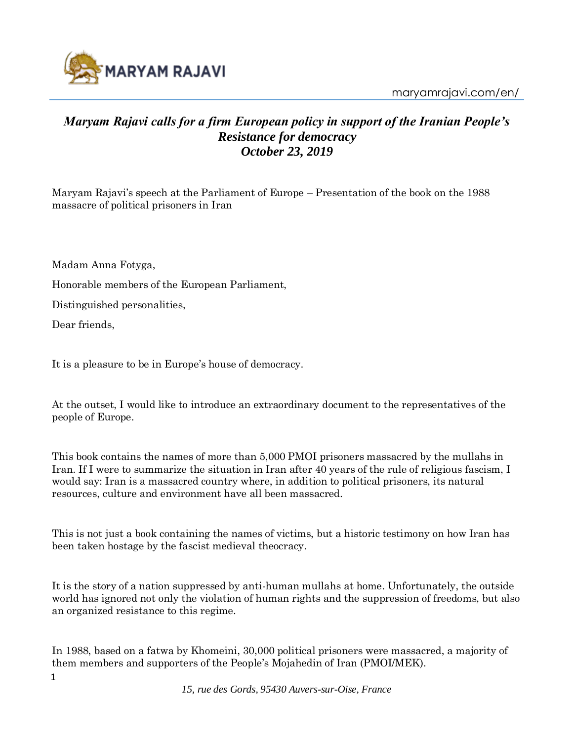

## *Maryam Rajavi calls for a firm European policy in support of the Iranian People's Resistance for democracy October 23, 2019*

Maryam Rajavi's speech at the Parliament of Europe – Presentation of the book on the 1988 massacre of political prisoners in Iran

Madam Anna Fotyga,

Honorable members of the European Parliament,

Distinguished personalities,

Dear friends,

It is a pleasure to be in Europe's house of democracy.

At the outset, I would like to introduce an extraordinary document to the representatives of the people of Europe.

This book contains the names of more than 5,000 PMOI prisoners massacred by the mullahs in Iran. If I were to summarize the situation in Iran after 40 years of the rule of religious fascism, I would say: Iran is a massacred country where, in addition to political prisoners, its natural resources, culture and environment have all been massacred.

This is not just a book containing the names of victims, but a historic testimony on how Iran has been taken hostage by the fascist medieval theocracy.

It is the story of a nation suppressed by anti-human mullahs at home. Unfortunately, the outside world has ignored not only the violation of human rights and the suppression of freedoms, but also an organized resistance to this regime.

In 1988, based on a fatwa by Khomeini, 30,000 political prisoners were massacred, a majority of them members and supporters of the People's Mojahedin of Iran (PMOI/MEK).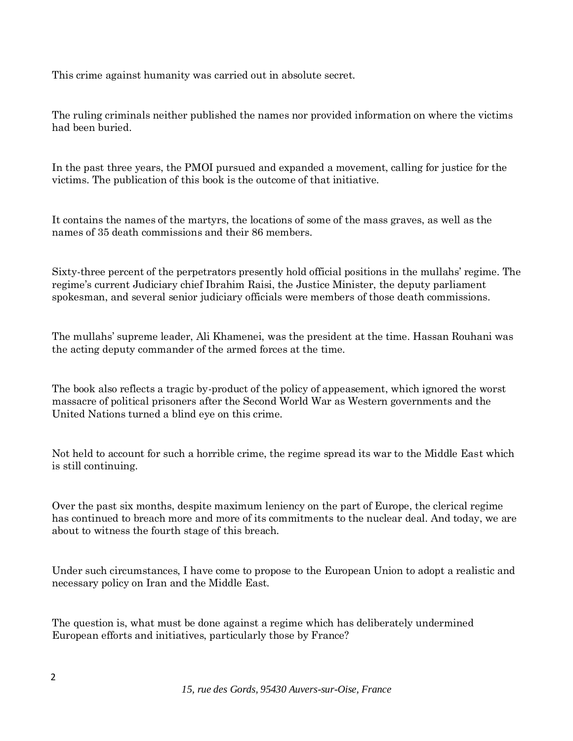This crime against humanity was carried out in absolute secret.

The ruling criminals neither published the names nor provided information on where the victims had been buried.

In the past three years, the PMOI pursued and expanded a movement, calling for justice for the victims. The publication of this book is the outcome of that initiative.

It contains the names of the martyrs, the locations of some of the mass graves, as well as the names of 35 death commissions and their 86 members.

Sixty-three percent of the perpetrators presently hold official positions in the mullahs' regime. The regime's current Judiciary chief Ibrahim Raisi, the Justice Minister, the deputy parliament spokesman, and several senior judiciary officials were members of those death commissions.

The mullahs' supreme leader, Ali Khamenei, was the president at the time. Hassan Rouhani was the acting deputy commander of the armed forces at the time.

The book also reflects a tragic by-product of the policy of appeasement, which ignored the worst massacre of political prisoners after the Second World War as Western governments and the United Nations turned a blind eye on this crime.

Not held to account for such a horrible crime, the regime spread its war to the Middle East which is still continuing.

Over the past six months, despite maximum leniency on the part of Europe, the clerical regime has continued to breach more and more of its commitments to the nuclear deal. And today, we are about to witness the fourth stage of this breach.

Under such circumstances, I have come to propose to the European Union to adopt a realistic and necessary policy on Iran and the Middle East.

The question is, what must be done against a regime which has deliberately undermined European efforts and initiatives, particularly those by France?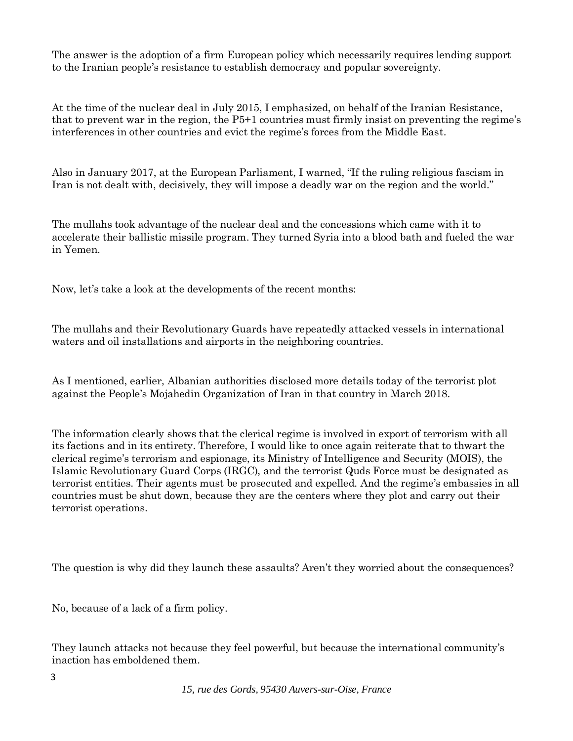The answer is the adoption of a firm European policy which necessarily requires lending support to the Iranian people's resistance to establish democracy and popular sovereignty.

At the time of the nuclear deal in July 2015, I emphasized, on behalf of the Iranian Resistance, that to prevent war in the region, the P5+1 countries must firmly insist on preventing the regime's interferences in other countries and evict the regime's forces from the Middle East.

Also in January 2017, at the European Parliament, I warned, "If the ruling religious fascism in Iran is not dealt with, decisively, they will impose a deadly war on the region and the world."

The mullahs took advantage of the nuclear deal and the concessions which came with it to accelerate their ballistic missile program. They turned Syria into a blood bath and fueled the war in Yemen.

Now, let's take a look at the developments of the recent months:

The mullahs and their Revolutionary Guards have repeatedly attacked vessels in international waters and oil installations and airports in the neighboring countries.

As I mentioned, earlier, Albanian authorities disclosed more details today of the terrorist plot against the People's Mojahedin Organization of Iran in that country in March 2018.

The information clearly shows that the clerical regime is involved in export of terrorism with all its factions and in its entirety. Therefore, I would like to once again reiterate that to thwart the clerical regime's terrorism and espionage, its Ministry of Intelligence and Security (MOIS), the Islamic Revolutionary Guard Corps (IRGC), and the terrorist Quds Force must be designated as terrorist entities. Their agents must be prosecuted and expelled. And the regime's embassies in all countries must be shut down, because they are the centers where they plot and carry out their terrorist operations.

The question is why did they launch these assaults? Aren't they worried about the consequences?

No, because of a lack of a firm policy.

They launch attacks not because they feel powerful, but because the international community's inaction has emboldened them.

*15, rue des Gords, 95430 Auvers-sur-Oise, France*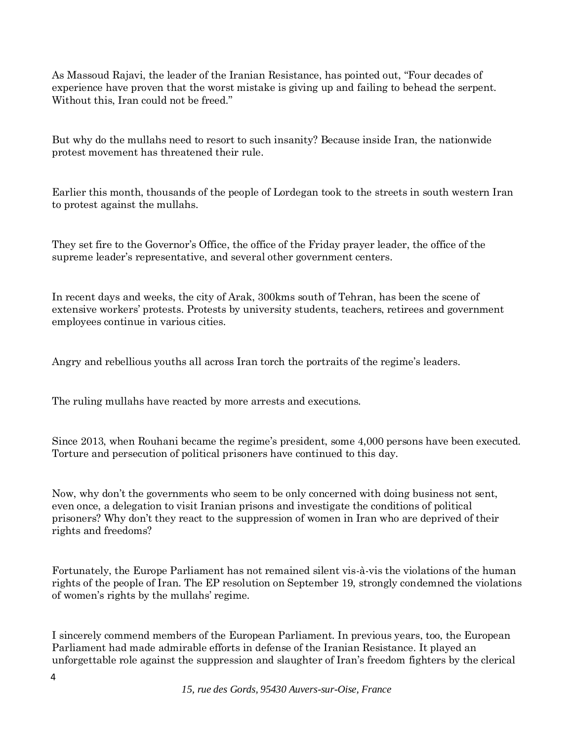As Massoud Rajavi, the leader of the Iranian Resistance, has pointed out, "Four decades of experience have proven that the worst mistake is giving up and failing to behead the serpent. Without this, Iran could not be freed."

But why do the mullahs need to resort to such insanity? Because inside Iran, the nationwide protest movement has threatened their rule.

Earlier this month, thousands of the people of Lordegan took to the streets in south western Iran to protest against the mullahs.

They set fire to the Governor's Office, the office of the Friday prayer leader, the office of the supreme leader's representative, and several other government centers.

In recent days and weeks, the city of Arak, 300kms south of Tehran, has been the scene of extensive workers' protests. Protests by university students, teachers, retirees and government employees continue in various cities.

Angry and rebellious youths all across Iran torch the portraits of the regime's leaders.

The ruling mullahs have reacted by more arrests and executions.

Since 2013, when Rouhani became the regime's president, some 4,000 persons have been executed. Torture and persecution of political prisoners have continued to this day.

Now, why don't the governments who seem to be only concerned with doing business not sent, even once, a delegation to visit Iranian prisons and investigate the conditions of political prisoners? Why don't they react to the suppression of women in Iran who are deprived of their rights and freedoms?

Fortunately, the Europe Parliament has not remained silent vis-à-vis the violations of the human rights of the people of Iran. The EP resolution on September 19, strongly condemned the violations of women's rights by the mullahs' regime.

I sincerely commend members of the European Parliament. In previous years, too, the European Parliament had made admirable efforts in defense of the Iranian Resistance. It played an unforgettable role against the suppression and slaughter of Iran's freedom fighters by the clerical